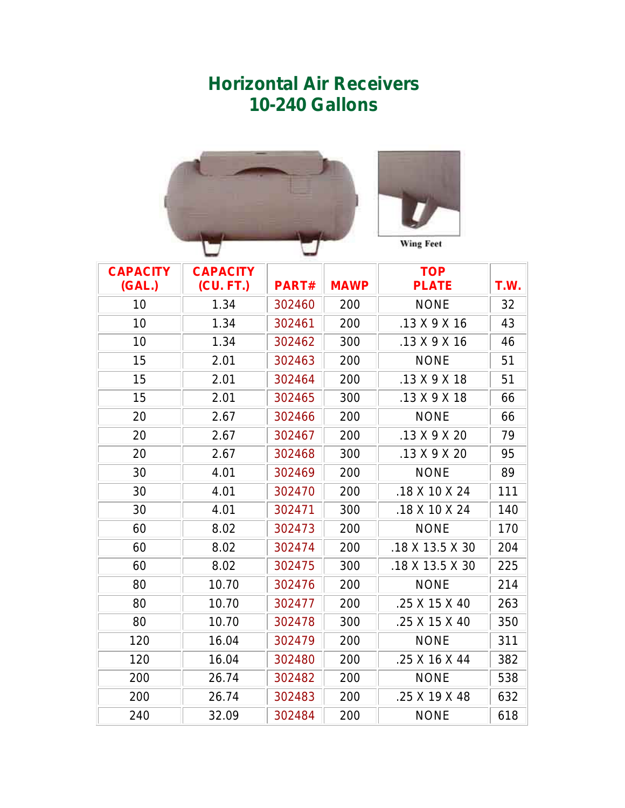## **Horizontal Air Receivers 10-240 Gallons**



| <b>CAPACITY</b><br>(GAL.) | <b>CAPACITY</b><br>(CU. FT.) | <b>PART#</b> | <b>MAWP</b> | <b>TOP</b><br><b>PLATE</b> | T.W. |  |
|---------------------------|------------------------------|--------------|-------------|----------------------------|------|--|
| 10                        | 1.34                         | 302460       | 200         | <b>NONE</b>                | 32   |  |
| 10                        | 1.34                         | 302461       | 200         | $.13$ X 9 X 16             | 43   |  |
| 10                        | 1.34                         | 302462       | 300         | $.13$ X 9 X 16             | 46   |  |
| 15                        | 2.01                         | 302463       | 200         | <b>NONE</b>                | 51   |  |
| 15                        | 2.01                         | 302464       | 200         | .13 X 9 X 18               | 51   |  |
| 15                        | 2.01                         | 302465       | 300         | .13 X 9 X 18               | 66   |  |
| 20                        | 2.67                         | 302466       | 200         | <b>NONE</b>                | 66   |  |
| 20                        | 2.67                         | 302467       | 200         | $.13$ X 9 X 20             | 79   |  |
| 20                        | 2.67                         | 302468       | 300         | .13 X 9 X 20               | 95   |  |
| 30                        | 4.01                         | 302469       | 200         | <b>NONE</b>                | 89   |  |
| 30                        | 4.01                         | 302470       | 200         | .18 X 10 X 24              | 111  |  |
| 30                        | 4.01                         | 302471       | 300         | $.18$ X 10 X 24            | 140  |  |
| 60                        | 8.02                         | 302473       | 200         | <b>NONE</b>                | 170  |  |
| 60                        | 8.02                         | 302474       | 200         | .18 X 13.5 X 30            | 204  |  |
| 60                        | 8.02                         | 302475       | 300         | .18 X 13.5 X 30            | 225  |  |
| 80                        | 10.70                        | 302476       | 200         | <b>NONE</b>                | 214  |  |
| 80                        | 10.70                        | 302477       | 200         | .25 X 15 X 40              | 263  |  |
| 80                        | 10.70                        | 302478       | 300         | .25 X 15 X 40              | 350  |  |
| 120                       | 16.04                        | 302479       | 200         | <b>NONE</b>                | 311  |  |
| 120                       | 16.04                        | 302480       | 200         | .25 X 16 X 44              | 382  |  |
| 200                       | 26.74                        | 302482       | 200         | <b>NONE</b>                | 538  |  |
| 200                       | 26.74                        | 302483       | 200         | .25 X 19 X 48              | 632  |  |
| 240                       | 32.09                        | 302484       | 200         | <b>NONE</b>                | 618  |  |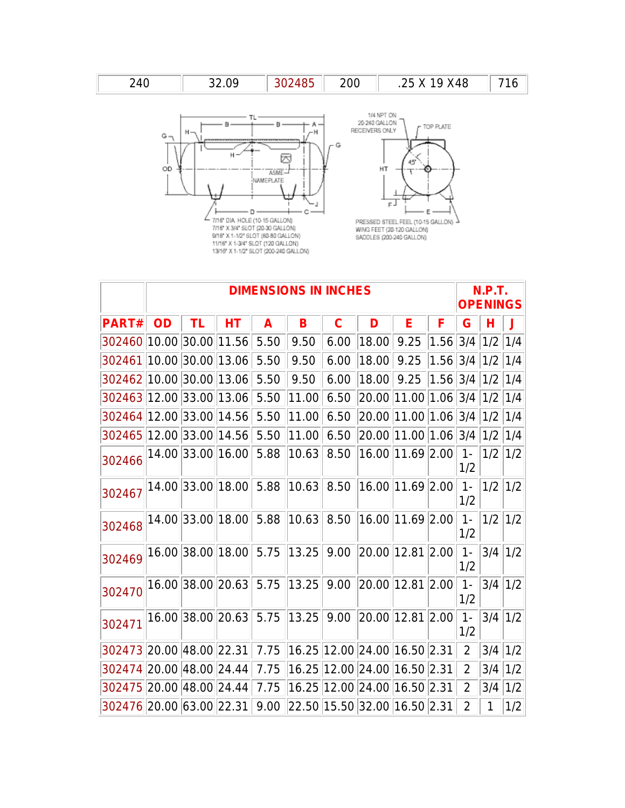| 24በ | 32.09 | 302485 | 200 | .25 X 19 X48 | <b>716</b> |
|-----|-------|--------|-----|--------------|------------|
|-----|-------|--------|-----|--------------|------------|





|                                                            | <b>DIMENSIONS IN INCHES</b> |    |                                                    |      |                                     |      |                                   |                        |          | <b>N.P.T.</b><br><b>OPENINGS</b> |           |           |
|------------------------------------------------------------|-----------------------------|----|----------------------------------------------------|------|-------------------------------------|------|-----------------------------------|------------------------|----------|----------------------------------|-----------|-----------|
| PART#                                                      | OD                          | ΤL | HT                                                 | A    | B                                   | C    | D                                 | Е                      | F        | G                                |           |           |
| 302460                                                     |                             |    | 10.00 30.00 11.56                                  | 5.50 | 9.50                                | 6.00 | 18.00                             | 9.25                   | 1.56 3/4 |                                  | 1/2       | 1/4       |
| 302461                                                     |                             |    | 10.00 30.00 13.06                                  | 5.50 | 9.50                                | 6.00 | 18.00                             | 9.25                   | 1.56 3/4 |                                  | 1/2       | 1/4       |
| 302462 10.00 30.00 13.06                                   |                             |    |                                                    | 5.50 | 9.50                                | 6.00 | 18.00                             | 9.25                   | 1.56 3/4 |                                  | $1/2$ 1/4 |           |
| 302463 12.00 33.00 13.06                                   |                             |    |                                                    | 5.50 | 11.00                               | 6.50 | 20.00                             | 11.00 1.06 3/4 1/2 1/4 |          |                                  |           |           |
| 302464 12.00 33.00 14.56                                   |                             |    |                                                    | 5.50 | 11.00                               | 6.50 |                                   | 20.00 11.00 1.06 3/4   |          |                                  | $1/2$ 1/4 |           |
| 302465 12.00 33.00 14.56                                   |                             |    |                                                    | 5.50 | 11.00                               | 6.50 | 20.00 11.00 1.06 3/4              |                        |          |                                  | 1/2       | 1/4       |
| 302466                                                     |                             |    | 14.00 33.00 16.00                                  | 5.88 | 10.63                               | 8.50 |                                   | 16.00 11.69 2.00       |          | $1 -$<br>1/2                     | 1/2       | 1/2       |
| 302467                                                     |                             |    | 14.00 33.00 18.00 5.88                             |      | 10.63 8.50                          |      | 16.00 11.69 2.00                  |                        |          | $1 -$<br>1/2                     | $1/2$ 1/2 |           |
| 302468                                                     |                             |    | 14.00 33.00 18.00 5.88                             |      | 10.63 8.50                          |      | 16.00 11.69 2.00                  |                        |          | $1 -$<br>1/2                     |           | $1/2$ 1/2 |
| 302469                                                     |                             |    | 16.00 38.00 18.00 5.75 13.25 9.00 20.00 12.81 2.00 |      |                                     |      |                                   |                        |          | $1 -$<br>1/2                     | $3/4$ 1/2 |           |
| 302470                                                     |                             |    | 16.00 38.00 20.63 5.75 13.25                       |      |                                     |      | $ 9.00 $ $ 20.00 $ 12.81 $ 2.00 $ |                        |          | $1 -$<br>1/2                     | $3/4$ 1/2 |           |
| 302471                                                     |                             |    | 16.00 38.00 20.63 5.75                             |      | 13.25                               |      | $9.00$   20.00   12.81   2.00     |                        |          | $1 -$<br>1/2                     | $3/4$ 1/2 |           |
| 302473 20.00 48.00 22.31 7.75 16.25 12.00 24.00 16.50 2.31 |                             |    |                                                    |      |                                     |      |                                   |                        |          | $\overline{2}$                   | $3/4$ 1/2 |           |
| 302474 20.00 48.00 24.44                                   |                             |    |                                                    | 7.75 | 16.25 12.00 24.00 16.50 2.31        |      |                                   |                        |          | $\overline{2}$                   | 3/4       | 1/2       |
| 302475 20.00 48.00 24.44                                   |                             |    |                                                    | 7.75 | 16.25 12.00 24.00 16.50 2.31        |      |                                   |                        |          | $\overline{2}$                   | 3/4       | 1/2       |
| 302476 20.00 63.00 22.31                                   |                             |    |                                                    |      | $9.00$ 22.50 15.50 32.00 16.50 2.31 |      |                                   |                        |          | $\overline{2}$                   | 1         | 1/2       |